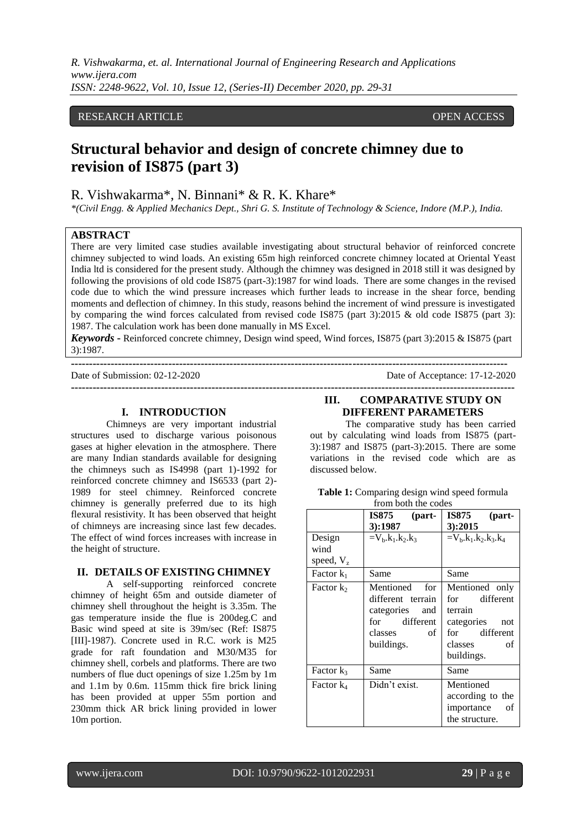*R. Vishwakarma, et. al. International Journal of Engineering Research and Applications www.ijera.com ISSN: 2248-9622, Vol. 10, Issue 12, (Series-II) December 2020, pp. 29-31*

## RESEARCH ARTICLE **CONSERVERS** OPEN ACCESS

# **Structural behavior and design of concrete chimney due to revision of IS875 (part 3)**

## R. Vishwakarma\*, N. Binnani\* & R. K. Khare\*

*\*(Civil Engg. & Applied Mechanics Dept., Shri G. S. Institute of Technology & Science, Indore (M.P.), India.*

#### **ABSTRACT**

There are very limited case studies available investigating about structural behavior of reinforced concrete chimney subjected to wind loads. An existing 65m high reinforced concrete chimney located at Oriental Yeast India ltd is considered for the present study. Although the chimney was designed in 2018 still it was designed by following the provisions of old code IS875 (part-3):1987 for wind loads. There are some changes in the revised code due to which the wind pressure increases which further leads to increase in the shear force, bending moments and deflection of chimney. In this study, reasons behind the increment of wind pressure is investigated by comparing the wind forces calculated from revised code IS875 (part 3):2015 & old code IS875 (part 3): 1987. The calculation work has been done manually in MS Excel.

*Keywords* **-** Reinforced concrete chimney, Design wind speed, Wind forces, IS875 (part 3):2015 & IS875 (part 3):1987.

**-------------------------------------------------------------------------------------------------------------------------** Date of Submission: 02-12-2020 Date of Acceptance: 17-12-2020

**---------------------------------------------------------------------------------------------------------------------------**

#### **I. INTRODUCTION**

Chimneys are very important industrial structures used to discharge various poisonous gases at higher elevation in the atmosphere. There are many Indian standards available for designing the chimneys such as IS4998 (part 1)-1992 for reinforced concrete chimney and IS6533 (part 2)- 1989 for steel chimney. Reinforced concrete chimney is generally preferred due to its high flexural resistivity. It has been observed that height of chimneys are increasing since last few decades. The effect of wind forces increases with increase in the height of structure.

#### **II. DETAILS OF EXISTING CHIMNEY**

A self-supporting reinforced concrete chimney of height 65m and outside diameter of chimney shell throughout the height is 3.35m. The gas temperature inside the flue is 200deg.C and Basic wind speed at site is 39m/sec (Ref: IS875 [III]-1987). Concrete used in R.C. work is M25 grade for raft foundation and M30/M35 for chimney shell, corbels and platforms. There are two numbers of flue duct openings of size 1.25m by 1m and 1.1m by 0.6m. 115mm thick fire brick lining has been provided at upper 55m portion and 230mm thick AR brick lining provided in lower 10m portion.

## **III. COMPARATIVE STUDY ON DIFFERENT PARAMETERS**

The comparative study has been carried out by calculating wind loads from IS875 (part-3):1987 and IS875 (part-3):2015. There are some variations in the revised code which are as discussed below.

| <b>Table 1:</b> Comparing design wind speed formula |  |  |
|-----------------------------------------------------|--|--|
| from both the codes                                 |  |  |

|              | IS875<br>(part-                                                                                            | IS875<br>(part-                                                                                                 |
|--------------|------------------------------------------------------------------------------------------------------------|-----------------------------------------------------------------------------------------------------------------|
|              | 3:1987                                                                                                     | 3):2015                                                                                                         |
| Design       | $=V_{b}k_{1}.k_{2}.k_{3}$                                                                                  | $=V_b.k_1.k_2.k_3.k_4$                                                                                          |
| wind         |                                                                                                            |                                                                                                                 |
| speed, $V_z$ |                                                                                                            |                                                                                                                 |
| Factor $k_1$ | Same                                                                                                       | Same                                                                                                            |
| Factor $k_2$ | Mentioned<br>for<br>different terrain<br>categories<br>and<br>for different<br>classes<br>of<br>buildings. | Mentioned only<br>for different<br>terrain<br>categories<br>not<br>for different<br>classes<br>of<br>buildings. |
| Factor $k_3$ | Same                                                                                                       | Same                                                                                                            |
| Factor $k_4$ | Didn't exist.                                                                                              | Mentioned<br>according to the<br>importance<br>οf<br>the structure.                                             |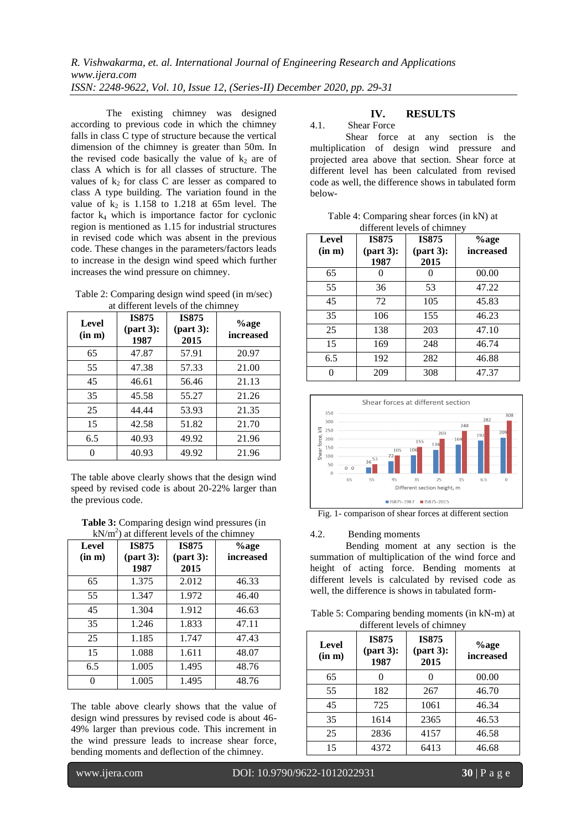The existing chimney was designed according to previous code in which the chimney falls in class C type of structure because the vertical dimension of the chimney is greater than 50m. In the revised code basically the value of  $k_2$  are of class A which is for all classes of structure. The values of  $k_2$  for class C are lesser as compared to class A type building. The variation found in the value of  $k_2$  is 1.158 to 1.218 at 65m level. The factor  $k_4$  which is importance factor for cyclonic region is mentioned as 1.15 for industrial structures in revised code which was absent in the previous code. These changes in the parameters/factors leads to increase in the design wind speed which further increases the wind pressure on chimney.

Table 2: Comparing design wind speed (in m/sec) at different levels of the chimney

| Level<br>(in m) | <b>IS875</b><br>${\rm (part 3):}$<br>1987 | <b>IS875</b><br>${\rm (part 3)}$ :<br>2015 | %age<br>increased |
|-----------------|-------------------------------------------|--------------------------------------------|-------------------|
| 65              | 47.87                                     | 57.91                                      | 20.97             |
| 55              | 47.38                                     | 57.33                                      | 21.00             |
| 45              | 46.61                                     | 56.46                                      | 21.13             |
| 35              | 45.58                                     | 55.27                                      | 21.26             |
| 25              | 44.44                                     | 53.93                                      | 21.35             |
| 15              | 42.58                                     | 51.82                                      | 21.70             |
| 6.5             | 40.93                                     | 49.92                                      | 21.96             |
| 0               | 40.93                                     | 49.92                                      | 21.96             |

The table above clearly shows that the design wind speed by revised code is about 20-22% larger than the previous code.

**Table 3:** Comparing design wind pressures (in  $hN/m^2$ ) at different layels of the objaining

| $kN/m2$ ) at different levels of the chimney |                                            |                                            |                   |  |
|----------------------------------------------|--------------------------------------------|--------------------------------------------|-------------------|--|
| Level<br>(in m)                              | <b>IS875</b><br>${\rm (part 3)}$ :<br>1987 | <b>IS875</b><br>${\rm (part 3)}$ :<br>2015 | %age<br>increased |  |
| 65                                           | 1.375                                      | 2.012                                      | 46.33             |  |
| 55                                           | 1.347                                      | 1.972                                      | 46.40             |  |
| 45                                           | 1.304                                      | 1.912                                      | 46.63             |  |
| 35                                           | 1.246                                      | 1.833                                      | 47.11             |  |
| 25                                           | 1.185                                      | 1.747                                      | 47.43             |  |
| 15                                           | 1.088                                      | 1.611                                      | 48.07             |  |
| 6.5                                          | 1.005                                      | 1.495                                      | 48.76             |  |
|                                              | 1.005                                      | 1.495                                      | 48.76             |  |

The table above clearly shows that the value of design wind pressures by revised code is about 46- 49% larger than previous code. This increment in the wind pressure leads to increase shear force, bending moments and deflection of the chimney.

## **IV. RESULTS**

#### 4.1. Shear Force

Shear force at any section is the multiplication of design wind pressure and projected area above that section. Shear force at different level has been calculated from revised code as well, the difference shows in tabulated form below-

Table 4: Comparing shear forces (in kN) at  $d$ :  $\mathcal{L}$  and  $\mathcal{L}$  is chimney and  $\mathcal{L}$  of chimney and  $\mathcal{L}$ 

| Level<br>(in m) | <b>IS875</b><br>${\rm (part 3)}$ :<br>1987 | <b>IS875</b><br>${\rm (part 3)}$ :<br>2015 | %age<br>increased |
|-----------------|--------------------------------------------|--------------------------------------------|-------------------|
| 65              |                                            |                                            | 00.00             |
| 55              | 36                                         | 53                                         | 47.22             |
| 45              | 72                                         | 105                                        | 45.83             |
| 35              | 106                                        | 155                                        | 46.23             |
| 25              | 138                                        | 203                                        | 47.10             |
| 15              | 169                                        | 248                                        | 46.74             |
| 6.5             | 192                                        | 282                                        | 46.88             |
|                 | 209                                        | 308                                        | 47.37             |



Fig. 1- comparison of shear forces at different section

#### 4.2. Bending moments

Bending moment at any section is the summation of multiplication of the wind force and height of acting force. Bending moments at different levels is calculated by revised code as well, the difference is shows in tabulated form-

Table 5: Comparing bending moments (in kN-m) at different levels of chimney

| Level<br>(in m) | <b>IS875</b><br>${\rm (part 3)}$ :<br>1987 | <b>IS875</b><br>${\rm (part 3)}$ :<br>2015 | %age<br><i>increased</i> |
|-----------------|--------------------------------------------|--------------------------------------------|--------------------------|
| 65              |                                            |                                            | 00.00                    |
| 55              | 182                                        | 267                                        | 46.70                    |
| 45              | 725                                        | 1061                                       | 46.34                    |
| 35              | 1614                                       | 2365                                       | 46.53                    |
| 25              | 2836                                       | 4157                                       | 46.58                    |
| 15              | 4372                                       | 6413                                       | 46.68                    |